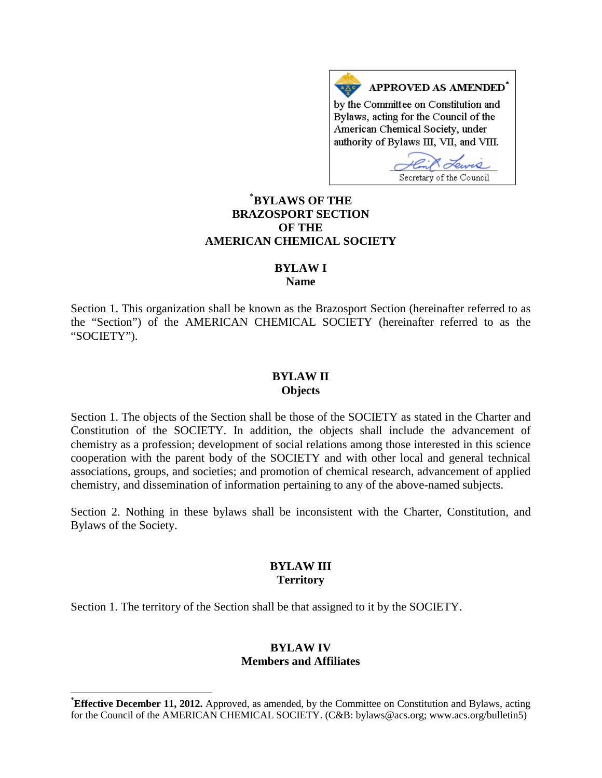APPROVED AS AMENDED<sup>\*</sup> by the Committee on Constitution and Bylaws, acting for the Council of the American Chemical Society, under authority of Bylaws III, VII, and VIII.

Secretary of the Council

# **[\\*](#page-0-0) BYLAWS OF THE BRAZOSPORT SECTION OF THE AMERICAN CHEMICAL SOCIETY**

# **BYLAW I**

**Name**

Section 1. This organization shall be known as the Brazosport Section (hereinafter referred to as the "Section") of the AMERICAN CHEMICAL SOCIETY (hereinafter referred to as the "SOCIETY").

#### **BYLAW II Objects**

Section 1. The objects of the Section shall be those of the SOCIETY as stated in the Charter and Constitution of the SOCIETY. In addition, the objects shall include the advancement of chemistry as a profession; development of social relations among those interested in this science cooperation with the parent body of the SOCIETY and with other local and general technical associations, groups, and societies; and promotion of chemical research, advancement of applied chemistry, and dissemination of information pertaining to any of the above-named subjects.

Section 2. Nothing in these bylaws shall be inconsistent with the Charter, Constitution, and Bylaws of the Society.

#### **BYLAW III Territory**

Section 1. The territory of the Section shall be that assigned to it by the SOCIETY.

## **BYLAW IV Members and Affiliates**

<span id="page-0-0"></span> <sup>\*</sup> **Effective December 11, 2012.** Approved, as amended, by the Committee on Constitution and Bylaws, acting for the Council of the AMERICAN CHEMICAL SOCIETY. (C&B: bylaws@acs.org; www.acs.org/bulletin5)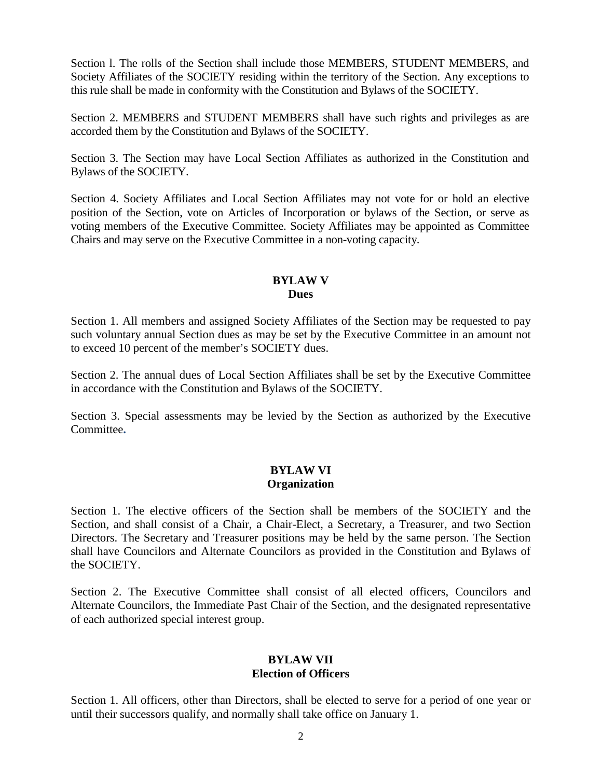Section l. The rolls of the Section shall include those MEMBERS, STUDENT MEMBERS, and Society Affiliates of the SOCIETY residing within the territory of the Section. Any exceptions to this rule shall be made in conformity with the Constitution and Bylaws of the SOCIETY.

Section 2. MEMBERS and STUDENT MEMBERS shall have such rights and privileges as are accorded them by the Constitution and Bylaws of the SOCIETY.

Section 3. The Section may have Local Section Affiliates as authorized in the Constitution and Bylaws of the SOCIETY.

Section 4. Society Affiliates and Local Section Affiliates may not vote for or hold an elective position of the Section, vote on Articles of Incorporation or bylaws of the Section, or serve as voting members of the Executive Committee. Society Affiliates may be appointed as Committee Chairs and may serve on the Executive Committee in a non-voting capacity.

## **BYLAW V Dues**

Section 1. All members and assigned Society Affiliates of the Section may be requested to pay such voluntary annual Section dues as may be set by the Executive Committee in an amount not to exceed 10 percent of the member's SOCIETY dues.

Section 2. The annual dues of Local Section Affiliates shall be set by the Executive Committee in accordance with the Constitution and Bylaws of the SOCIETY.

Section 3. Special assessments may be levied by the Section as authorized by the Executive Committee**.**

## **BYLAW VI Organization**

Section 1. The elective officers of the Section shall be members of the SOCIETY and the Section, and shall consist of a Chair, a Chair-Elect, a Secretary, a Treasurer, and two Section Directors. The Secretary and Treasurer positions may be held by the same person. The Section shall have Councilors and Alternate Councilors as provided in the Constitution and Bylaws of the SOCIETY.

Section 2. The Executive Committee shall consist of all elected officers, Councilors and Alternate Councilors, the Immediate Past Chair of the Section, and the designated representative of each authorized special interest group.

## **BYLAW VII Election of Officers**

Section 1. All officers, other than Directors, shall be elected to serve for a period of one year or until their successors qualify, and normally shall take office on January 1.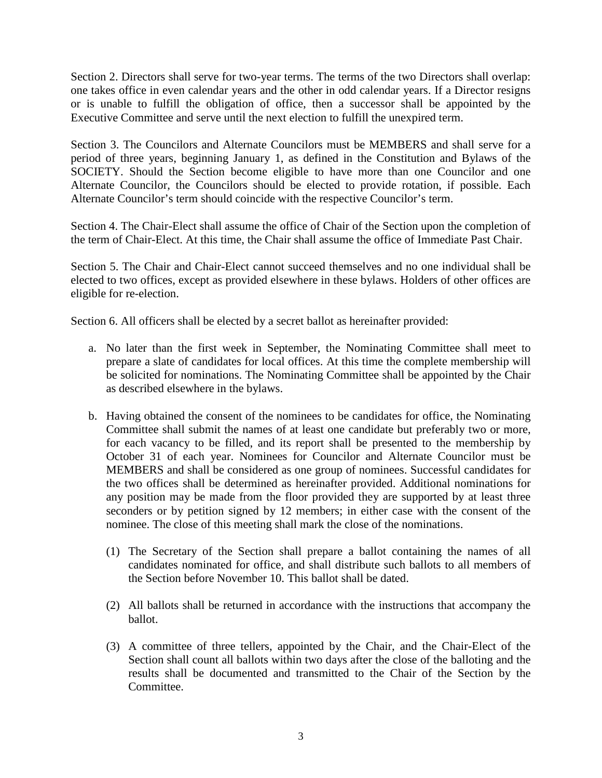Section 2. Directors shall serve for two-year terms. The terms of the two Directors shall overlap: one takes office in even calendar years and the other in odd calendar years. If a Director resigns or is unable to fulfill the obligation of office, then a successor shall be appointed by the Executive Committee and serve until the next election to fulfill the unexpired term.

Section 3. The Councilors and Alternate Councilors must be MEMBERS and shall serve for a period of three years, beginning January 1, as defined in the Constitution and Bylaws of the SOCIETY. Should the Section become eligible to have more than one Councilor and one Alternate Councilor, the Councilors should be elected to provide rotation, if possible. Each Alternate Councilor's term should coincide with the respective Councilor's term.

Section 4. The Chair-Elect shall assume the office of Chair of the Section upon the completion of the term of Chair-Elect. At this time, the Chair shall assume the office of Immediate Past Chair.

Section 5. The Chair and Chair-Elect cannot succeed themselves and no one individual shall be elected to two offices, except as provided elsewhere in these bylaws. Holders of other offices are eligible for re-election.

Section 6. All officers shall be elected by a secret ballot as hereinafter provided:

- a. No later than the first week in September, the Nominating Committee shall meet to prepare a slate of candidates for local offices. At this time the complete membership will be solicited for nominations. The Nominating Committee shall be appointed by the Chair as described elsewhere in the bylaws.
- b. Having obtained the consent of the nominees to be candidates for office, the Nominating Committee shall submit the names of at least one candidate but preferably two or more, for each vacancy to be filled, and its report shall be presented to the membership by October 31 of each year. Nominees for Councilor and Alternate Councilor must be MEMBERS and shall be considered as one group of nominees. Successful candidates for the two offices shall be determined as hereinafter provided. Additional nominations for any position may be made from the floor provided they are supported by at least three seconders or by petition signed by 12 members; in either case with the consent of the nominee. The close of this meeting shall mark the close of the nominations.
	- (1) The Secretary of the Section shall prepare a ballot containing the names of all candidates nominated for office, and shall distribute such ballots to all members of the Section before November 10. This ballot shall be dated.
	- (2) All ballots shall be returned in accordance with the instructions that accompany the ballot.
	- (3) A committee of three tellers, appointed by the Chair, and the Chair-Elect of the Section shall count all ballots within two days after the close of the balloting and the results shall be documented and transmitted to the Chair of the Section by the Committee.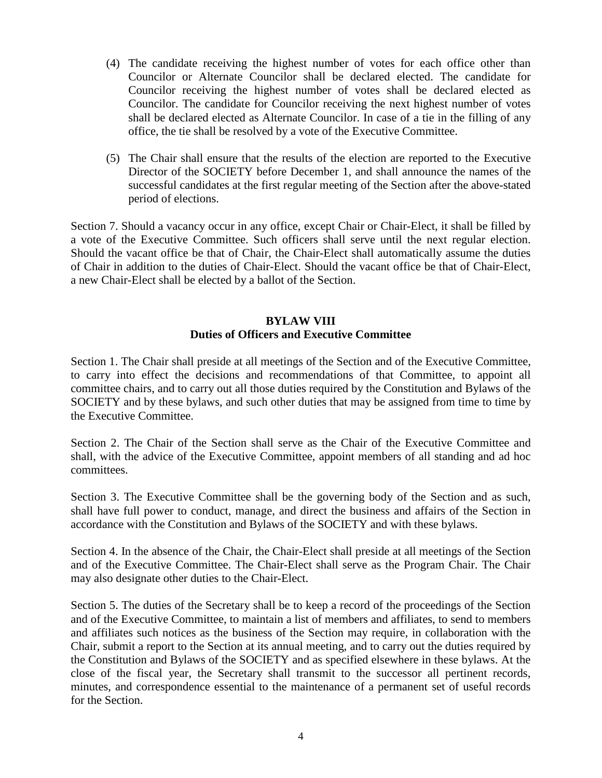- (4) The candidate receiving the highest number of votes for each office other than Councilor or Alternate Councilor shall be declared elected. The candidate for Councilor receiving the highest number of votes shall be declared elected as Councilor. The candidate for Councilor receiving the next highest number of votes shall be declared elected as Alternate Councilor. In case of a tie in the filling of any office, the tie shall be resolved by a vote of the Executive Committee.
- (5) The Chair shall ensure that the results of the election are reported to the Executive Director of the SOCIETY before December 1, and shall announce the names of the successful candidates at the first regular meeting of the Section after the above-stated period of elections.

Section 7. Should a vacancy occur in any office, except Chair or Chair-Elect, it shall be filled by a vote of the Executive Committee. Such officers shall serve until the next regular election. Should the vacant office be that of Chair, the Chair-Elect shall automatically assume the duties of Chair in addition to the duties of Chair-Elect. Should the vacant office be that of Chair-Elect, a new Chair-Elect shall be elected by a ballot of the Section.

# **BYLAW VIII Duties of Officers and Executive Committee**

Section 1. The Chair shall preside at all meetings of the Section and of the Executive Committee, to carry into effect the decisions and recommendations of that Committee, to appoint all committee chairs, and to carry out all those duties required by the Constitution and Bylaws of the SOCIETY and by these bylaws, and such other duties that may be assigned from time to time by the Executive Committee.

Section 2. The Chair of the Section shall serve as the Chair of the Executive Committee and shall, with the advice of the Executive Committee, appoint members of all standing and ad hoc committees.

Section 3. The Executive Committee shall be the governing body of the Section and as such, shall have full power to conduct, manage, and direct the business and affairs of the Section in accordance with the Constitution and Bylaws of the SOCIETY and with these bylaws.

Section 4. In the absence of the Chair, the Chair-Elect shall preside at all meetings of the Section and of the Executive Committee. The Chair-Elect shall serve as the Program Chair. The Chair may also designate other duties to the Chair-Elect.

Section 5. The duties of the Secretary shall be to keep a record of the proceedings of the Section and of the Executive Committee, to maintain a list of members and affiliates, to send to members and affiliates such notices as the business of the Section may require, in collaboration with the Chair, submit a report to the Section at its annual meeting, and to carry out the duties required by the Constitution and Bylaws of the SOCIETY and as specified elsewhere in these bylaws. At the close of the fiscal year, the Secretary shall transmit to the successor all pertinent records, minutes, and correspondence essential to the maintenance of a permanent set of useful records for the Section.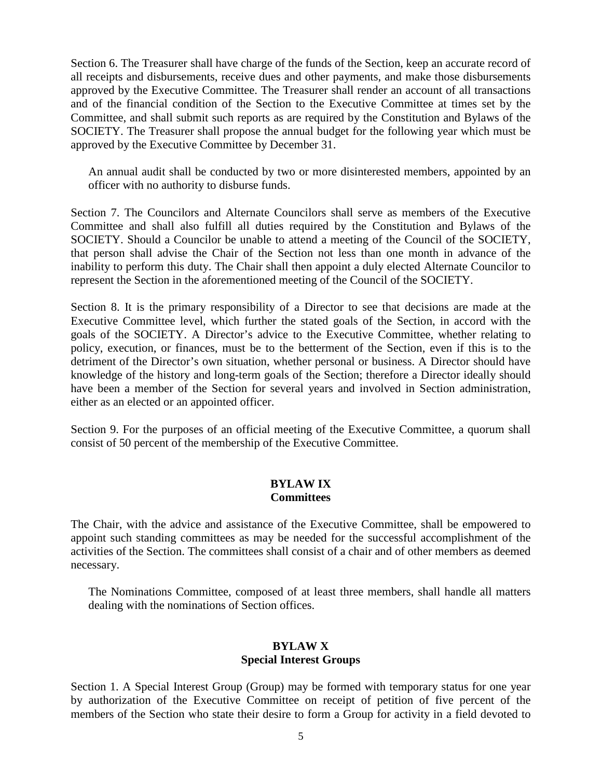Section 6. The Treasurer shall have charge of the funds of the Section, keep an accurate record of all receipts and disbursements, receive dues and other payments, and make those disbursements approved by the Executive Committee. The Treasurer shall render an account of all transactions and of the financial condition of the Section to the Executive Committee at times set by the Committee, and shall submit such reports as are required by the Constitution and Bylaws of the SOCIETY. The Treasurer shall propose the annual budget for the following year which must be approved by the Executive Committee by December 31.

An annual audit shall be conducted by two or more disinterested members, appointed by an officer with no authority to disburse funds.

Section 7. The Councilors and Alternate Councilors shall serve as members of the Executive Committee and shall also fulfill all duties required by the Constitution and Bylaws of the SOCIETY. Should a Councilor be unable to attend a meeting of the Council of the SOCIETY, that person shall advise the Chair of the Section not less than one month in advance of the inability to perform this duty. The Chair shall then appoint a duly elected Alternate Councilor to represent the Section in the aforementioned meeting of the Council of the SOCIETY.

Section 8. It is the primary responsibility of a Director to see that decisions are made at the Executive Committee level, which further the stated goals of the Section, in accord with the goals of the SOCIETY. A Director's advice to the Executive Committee, whether relating to policy, execution, or finances, must be to the betterment of the Section, even if this is to the detriment of the Director's own situation, whether personal or business. A Director should have knowledge of the history and long-term goals of the Section; therefore a Director ideally should have been a member of the Section for several years and involved in Section administration, either as an elected or an appointed officer.

Section 9. For the purposes of an official meeting of the Executive Committee, a quorum shall consist of 50 percent of the membership of the Executive Committee.

#### **BYLAW IX Committees**

The Chair, with the advice and assistance of the Executive Committee, shall be empowered to appoint such standing committees as may be needed for the successful accomplishment of the activities of the Section. The committees shall consist of a chair and of other members as deemed necessary.

The Nominations Committee, composed of at least three members, shall handle all matters dealing with the nominations of Section offices.

## **BYLAW X Special Interest Groups**

Section 1. A Special Interest Group (Group) may be formed with temporary status for one year by authorization of the Executive Committee on receipt of petition of five percent of the members of the Section who state their desire to form a Group for activity in a field devoted to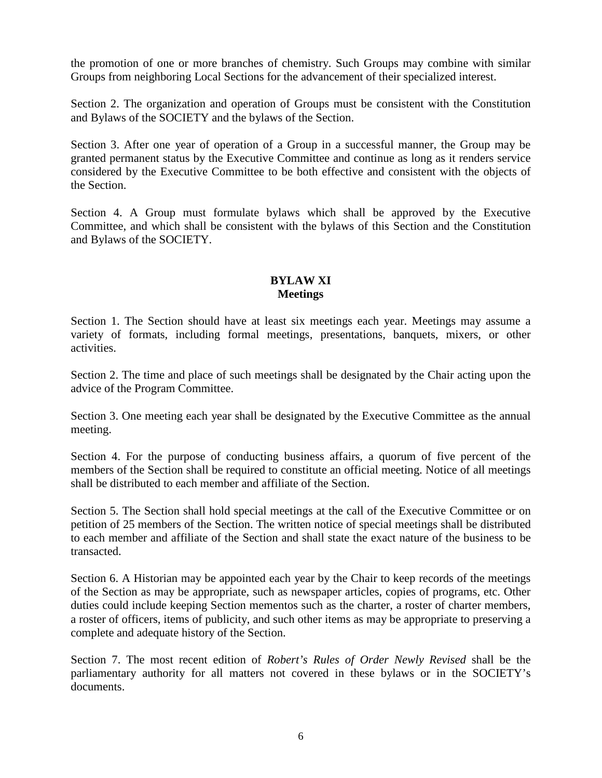the promotion of one or more branches of chemistry. Such Groups may combine with similar Groups from neighboring Local Sections for the advancement of their specialized interest.

Section 2. The organization and operation of Groups must be consistent with the Constitution and Bylaws of the SOCIETY and the bylaws of the Section.

Section 3. After one year of operation of a Group in a successful manner, the Group may be granted permanent status by the Executive Committee and continue as long as it renders service considered by the Executive Committee to be both effective and consistent with the objects of the Section.

Section 4. A Group must formulate bylaws which shall be approved by the Executive Committee, and which shall be consistent with the bylaws of this Section and the Constitution and Bylaws of the SOCIETY.

## **BYLAW XI Meetings**

Section 1. The Section should have at least six meetings each year. Meetings may assume a variety of formats, including formal meetings, presentations, banquets, mixers, or other activities.

Section 2. The time and place of such meetings shall be designated by the Chair acting upon the advice of the Program Committee.

Section 3. One meeting each year shall be designated by the Executive Committee as the annual meeting.

Section 4. For the purpose of conducting business affairs, a quorum of five percent of the members of the Section shall be required to constitute an official meeting. Notice of all meetings shall be distributed to each member and affiliate of the Section.

Section 5. The Section shall hold special meetings at the call of the Executive Committee or on petition of 25 members of the Section. The written notice of special meetings shall be distributed to each member and affiliate of the Section and shall state the exact nature of the business to be transacted.

Section 6. A Historian may be appointed each year by the Chair to keep records of the meetings of the Section as may be appropriate, such as newspaper articles, copies of programs, etc. Other duties could include keeping Section mementos such as the charter, a roster of charter members, a roster of officers, items of publicity, and such other items as may be appropriate to preserving a complete and adequate history of the Section.

Section 7. The most recent edition of *Robert's Rules of Order Newly Revised* shall be the parliamentary authority for all matters not covered in these bylaws or in the SOCIETY's documents.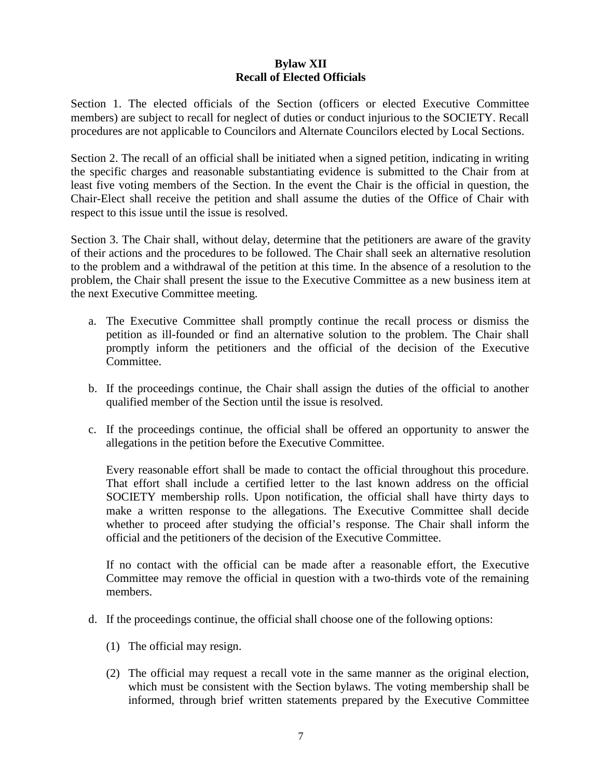## **Bylaw XII Recall of Elected Officials**

Section 1. The elected officials of the Section (officers or elected Executive Committee members) are subject to recall for neglect of duties or conduct injurious to the SOCIETY. Recall procedures are not applicable to Councilors and Alternate Councilors elected by Local Sections.

Section 2. The recall of an official shall be initiated when a signed petition, indicating in writing the specific charges and reasonable substantiating evidence is submitted to the Chair from at least five voting members of the Section. In the event the Chair is the official in question, the Chair-Elect shall receive the petition and shall assume the duties of the Office of Chair with respect to this issue until the issue is resolved.

Section 3. The Chair shall, without delay, determine that the petitioners are aware of the gravity of their actions and the procedures to be followed. The Chair shall seek an alternative resolution to the problem and a withdrawal of the petition at this time. In the absence of a resolution to the problem, the Chair shall present the issue to the Executive Committee as a new business item at the next Executive Committee meeting.

- a. The Executive Committee shall promptly continue the recall process or dismiss the petition as ill-founded or find an alternative solution to the problem. The Chair shall promptly inform the petitioners and the official of the decision of the Executive Committee.
- b. If the proceedings continue, the Chair shall assign the duties of the official to another qualified member of the Section until the issue is resolved.
- c. If the proceedings continue, the official shall be offered an opportunity to answer the allegations in the petition before the Executive Committee.

Every reasonable effort shall be made to contact the official throughout this procedure. That effort shall include a certified letter to the last known address on the official SOCIETY membership rolls. Upon notification, the official shall have thirty days to make a written response to the allegations. The Executive Committee shall decide whether to proceed after studying the official's response. The Chair shall inform the official and the petitioners of the decision of the Executive Committee.

If no contact with the official can be made after a reasonable effort, the Executive Committee may remove the official in question with a two-thirds vote of the remaining members.

- d. If the proceedings continue, the official shall choose one of the following options:
	- (1) The official may resign.
	- (2) The official may request a recall vote in the same manner as the original election, which must be consistent with the Section bylaws. The voting membership shall be informed, through brief written statements prepared by the Executive Committee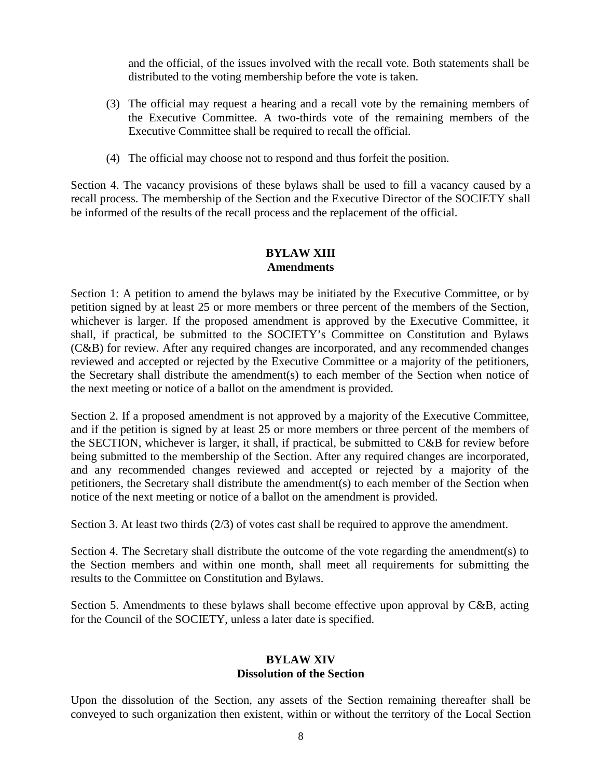and the official, of the issues involved with the recall vote. Both statements shall be distributed to the voting membership before the vote is taken.

- (3) The official may request a hearing and a recall vote by the remaining members of the Executive Committee. A two-thirds vote of the remaining members of the Executive Committee shall be required to recall the official.
- (4) The official may choose not to respond and thus forfeit the position.

Section 4. The vacancy provisions of these bylaws shall be used to fill a vacancy caused by a recall process. The membership of the Section and the Executive Director of the SOCIETY shall be informed of the results of the recall process and the replacement of the official.

# **BYLAW XIII Amendments**

Section 1: A petition to amend the bylaws may be initiated by the Executive Committee, or by petition signed by at least 25 or more members or three percent of the members of the Section, whichever is larger. If the proposed amendment is approved by the Executive Committee, it shall, if practical, be submitted to the SOCIETY's Committee on Constitution and Bylaws (C&B) for review. After any required changes are incorporated, and any recommended changes reviewed and accepted or rejected by the Executive Committee or a majority of the petitioners, the Secretary shall distribute the amendment(s) to each member of the Section when notice of the next meeting or notice of a ballot on the amendment is provided.

Section 2. If a proposed amendment is not approved by a majority of the Executive Committee, and if the petition is signed by at least 25 or more members or three percent of the members of the SECTION, whichever is larger, it shall, if practical, be submitted to C&B for review before being submitted to the membership of the Section. After any required changes are incorporated, and any recommended changes reviewed and accepted or rejected by a majority of the petitioners, the Secretary shall distribute the amendment(s) to each member of the Section when notice of the next meeting or notice of a ballot on the amendment is provided.

Section 3. At least two thirds (2/3) of votes cast shall be required to approve the amendment.

Section 4. The Secretary shall distribute the outcome of the vote regarding the amendment(s) to the Section members and within one month, shall meet all requirements for submitting the results to the Committee on Constitution and Bylaws.

Section 5. Amendments to these bylaws shall become effective upon approval by C&B, acting for the Council of the SOCIETY, unless a later date is specified.

# **BYLAW XIV Dissolution of the Section**

Upon the dissolution of the Section, any assets of the Section remaining thereafter shall be conveyed to such organization then existent, within or without the territory of the Local Section